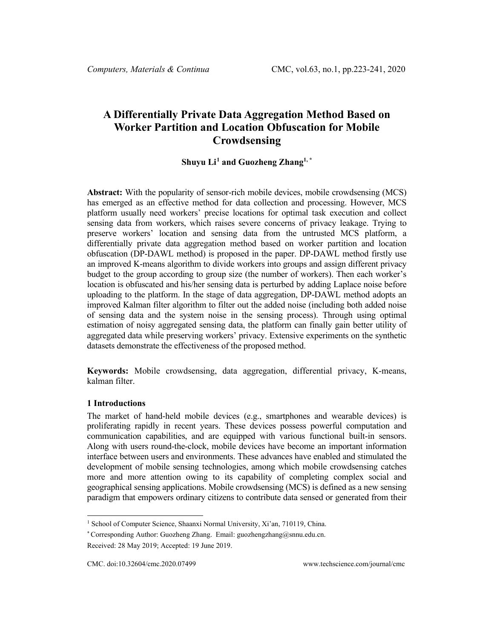# **A Differentially Private Data Aggregation Method Based on Worker Partition and Location Obfuscation for Mobile Crowdsensing**

# **Shuyu Li[1](#page-0-0) and Guozheng Zhang1, \***

**Abstract:** With the popularity of sensor-rich mobile devices, mobile crowdsensing (MCS) has emerged as an effective method for data collection and processing. However, MCS platform usually need workers' precise locations for optimal task execution and collect sensing data from workers, which raises severe concerns of privacy leakage. Trying to preserve workers' location and sensing data from the untrusted MCS platform, a differentially private data aggregation method based on worker partition and location obfuscation (DP-DAWL method) is proposed in the paper. DP-DAWL method firstly use an improved K-means algorithm to divide workers into groups and assign different privacy budget to the group according to group size (the number of workers). Then each worker's location is obfuscated and his/her sensing data is perturbed by adding Laplace noise before uploading to the platform. In the stage of data aggregation, DP-DAWL method adopts an improved Kalman filter algorithm to filter out the added noise (including both added noise of sensing data and the system noise in the sensing process). Through using optimal estimation of noisy aggregated sensing data, the platform can finally gain better utility of aggregated data while preserving workers' privacy. Extensive experiments on the synthetic datasets demonstrate the effectiveness of the proposed method.

**Keywords:** Mobile crowdsensing, data aggregation, differential privacy, K-means, kalman filter.

#### **1 Introductions**

The market of hand-held mobile devices (e.g., smartphones and wearable devices) is proliferating rapidly in recent years. These devices possess powerful computation and communication capabilities, and are equipped with various functional built-in sensors. Along with users round-the-clock, mobile devices have become an important information interface between users and environments. These advances have enabled and stimulated the development of mobile sensing technologies, among which mobile crowdsensing catches more and more attention owing to its capability of completing complex social and geographical sensing applications. Mobile crowdsensing (MCS) is defined as a new sensing paradigm that empowers ordinary citizens to contribute data sensed or generated from their

<span id="page-0-0"></span><sup>&</sup>lt;sup>1</sup> School of Computer Science, Shaanxi Normal University, Xi'an, 710119, China.

<sup>\*</sup> Corresponding Author: Guozheng Zhang. Email: guozhengzhang@snnu.edu.cn. Received: 28 May 2019; Accepted: 19 June 2019.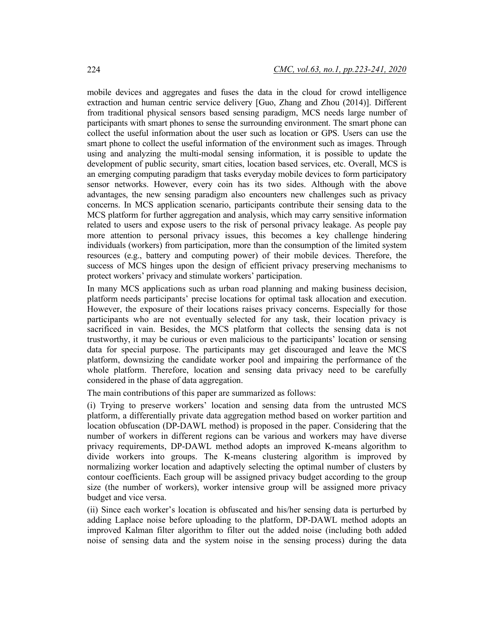mobile devices and aggregates and fuses the data in the cloud for crowd intelligence extraction and human centric service delivery [Guo, Zhang and Zhou (2014)]. Different from traditional physical sensors based sensing paradigm, MCS needs large number of participants with smart phones to sense the surrounding environment. The smart phone can collect the useful information about the user such as location or GPS. Users can use the smart phone to collect the useful information of the environment such as images. Through using and analyzing the multi-modal sensing information, it is possible to update the development of public security, smart cities, location based services, etc. Overall, MCS is an emerging computing paradigm that tasks everyday mobile devices to form participatory sensor networks. However, every coin has its two sides. Although with the above advantages, the new sensing paradigm also encounters new challenges such as privacy concerns. In MCS application scenario, participants contribute their sensing data to the MCS platform for further aggregation and analysis, which may carry sensitive information related to users and expose users to the risk of personal privacy leakage. As people pay more attention to personal privacy issues, this becomes a key challenge hindering individuals (workers) from participation, more than the consumption of the limited system resources (e.g., battery and computing power) of their mobile devices. Therefore, the success of MCS hinges upon the design of efficient privacy preserving mechanisms to protect workers' privacy and stimulate workers' participation.

In many MCS applications such as urban road planning and making business decision, platform needs participants' precise locations for optimal task allocation and execution. However, the exposure of their locations raises privacy concerns. Especially for those participants who are not eventually selected for any task, their location privacy is sacrificed in vain. Besides, the MCS platform that collects the sensing data is not trustworthy, it may be curious or even malicious to the participants' location or sensing data for special purpose. The participants may get discouraged and leave the MCS platform, downsizing the candidate worker pool and impairing the performance of the whole platform. Therefore, location and sensing data privacy need to be carefully considered in the phase of data aggregation.

The main contributions of this paper are summarized as follows:

(i) Trying to preserve workers' location and sensing data from the untrusted MCS platform, a differentially private data aggregation method based on worker partition and location obfuscation (DP-DAWL method) is proposed in the paper. Considering that the number of workers in different regions can be various and workers may have diverse privacy requirements, DP-DAWL method adopts an improved K-means algorithm to divide workers into groups. The K-means clustering algorithm is improved by normalizing worker location and adaptively selecting the optimal number of clusters by contour coefficients. Each group will be assigned privacy budget according to the group size (the number of workers), worker intensive group will be assigned more privacy budget and vice versa.

(ii) Since each worker's location is obfuscated and his/her sensing data is perturbed by adding Laplace noise before uploading to the platform, DP-DAWL method adopts an improved Kalman filter algorithm to filter out the added noise (including both added noise of sensing data and the system noise in the sensing process) during the data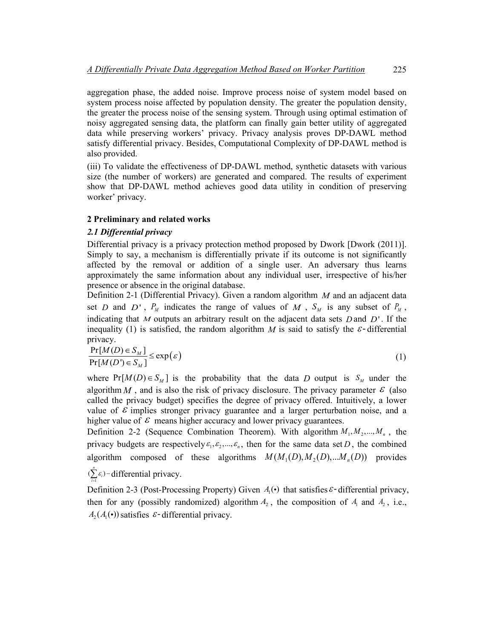aggregation phase, the added noise. Improve process noise of system model based on system process noise affected by population density. The greater the population density, the greater the process noise of the sensing system. Through using optimal estimation of noisy aggregated sensing data, the platform can finally gain better utility of aggregated data while preserving workers' privacy. Privacy analysis proves DP-DAWL method satisfy differential privacy. Besides, Computational Complexity of DP-DAWL method is also provided.

(iii) To validate the effectiveness of DP-DAWL method, synthetic datasets with various size (the number of workers) are generated and compared. The results of experiment show that DP-DAWL method achieves good data utility in condition of preserving worker' privacy.

#### **2 Preliminary and related works**

#### *2.1 Differential privacy*

Differential privacy is a privacy protection method proposed by Dwork [Dwork (2011)]. Simply to say, a mechanism is differentially private if its outcome is not significantly affected by the removal or addition of a single user. An adversary thus learns approximately the same information about any individual user, irrespective of his/her presence or absence in the original database.

Definition 2-1 (Differential Privacy). Given a random algorithm *M* and an adjacent data set *D* and *D*',  $P_M$  indicates the range of values of *M*,  $S_M$  is any subset of  $P_M$ , indicating that *M* outputs an arbitrary result on the adjacent data sets *D* and *D*' . If the inequality (1) is satisfied, the random algorithm *M* is said to satisfy the  $\epsilon$ -differential privacy.

$$
\frac{\Pr[M(D) \in S_M]}{\Pr[M(D') \in S_M]} \le \exp(\varepsilon)
$$
\n(1)

where  $Pr[M(D) \in S_M]$  is the probability that the data *D* output is  $S_M$  under the algorithm  $M$ , and is also the risk of privacy disclosure. The privacy parameter  $\varepsilon$  (also called the privacy budget) specifies the degree of privacy offered. Intuitively, a lower value of  $\epsilon$  implies stronger privacy guarantee and a larger perturbation noise, and a higher value of  $\epsilon$  means higher accuracy and lower privacy guarantees.

Definition 2-2 (Sequence Combination Theorem). With algorithm  $M_1, M_2, ..., M_n$ , the privacy budgets are respectively  $\varepsilon_1, \varepsilon_2, ..., \varepsilon_n$ , then for the same data set *D*, the combined algorithm composed of these algorithms  $M(M_1(D), M_2(D),...M_n(D))$  provides

1  $(\sum_{i=1}^{n} \mathcal{E}_{i})$  $\sum \varepsilon_i$ ) – differential privacy. *i* =

Definition 2-3 (Post-Processing Property) Given  $A_i(\cdot)$  that satisfies  $\varepsilon$ -differential privacy, then for any (possibly randomized) algorithm  $A_2$ , the composition of  $A_1$  and  $A_2$ , i.e.,  $A_2(A_1(\cdot))$  satisfies  $\varepsilon$ -differential privacy.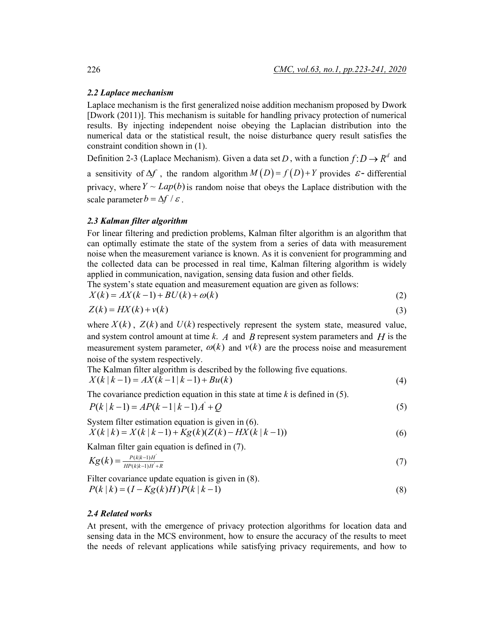#### *2.2 Laplace mechanism*

Laplace mechanism is the first generalized noise addition mechanism proposed by Dwork [Dwork (2011)]. This mechanism is suitable for handling privacy protection of numerical results. By injecting independent noise obeying the Laplacian distribution into the numerical data or the statistical result, the noise disturbance query result satisfies the constraint condition shown in (1).

Definition 2-3 (Laplace Mechanism). Given a data set *D*, with a function  $f: D \to R^d$  and a sensitivity of  $\Delta f$ , the random algorithm  $M(D) = f(D) + Y$  provides  $\varepsilon$ - differential privacy, where  $Y \sim Lap(b)$  is random noise that obeys the Laplace distribution with the scale parameter  $b = \Delta f / \varepsilon$ .

# *2.3 Kalman filter algorithm*

For linear filtering and prediction problems, Kalman filter algorithm is an algorithm that can optimally estimate the state of the system from a series of data with measurement noise when the measurement variance is known. As it is convenient for programming and the collected data can be processed in real time, Kalman filtering algorithm is widely applied in communication, navigation, sensing data fusion and other fields.

The system's state equation and measurement equation are given as follows:

$$
X(k) = AX(k-1) + BU(k) + \omega(k)
$$
\n<sup>(2)</sup>

$$
Z(k) = HX(k) + v(k)
$$
\n(3)

where  $X(k)$ ,  $Z(k)$  and  $U(k)$  respectively represent the system state, measured value, and system control amount at time *k*. *A* and *B* represent system parameters and *H* is the measurement system parameter,  $\omega(k)$  and  $v(k)$  are the process noise and measurement noise of the system respectively.

The Kalman filter algorithm is described by the following five equations.  
\n
$$
X(k | k-1) = AX(k-1 | k-1) + Bu(k)
$$
\n(4)

The covariance prediction equation in this state at time  $k$  is defined in (5).

$$
P(k | k - 1) = AP(k - 1 | k - 1)A^{T} + Q
$$
\n(5)

System filter estimation equation is given in (6).  $X(k|k) = X(k|k-1) + Kg(k)(Z(k) - HX(k|k-1))$  (6)

Kalman filter gain equation is defined in (7).

$$
Kg(k) = \frac{P(k|k-1)H}{HP(k|k-1)H + R}
$$
\n(7)

Filter covariance update equation is given in (8).  
\n
$$
P(k | k) = (I - Kg(k)H)P(k | k - 1)
$$
\n(8)

#### *2.4 Related works*

At present, with the emergence of privacy protection algorithms for location data and sensing data in the MCS environment, how to ensure the accuracy of the results to meet the needs of relevant applications while satisfying privacy requirements, and how to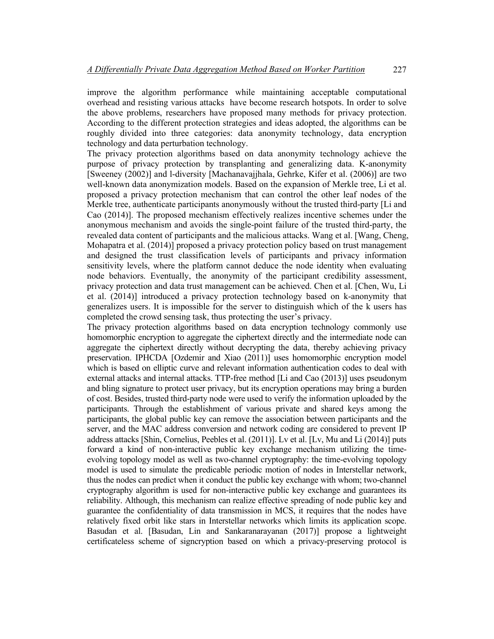improve the algorithm performance while maintaining acceptable computational overhead and resisting various attacks have become research hotspots. In order to solve the above problems, researchers have proposed many methods for privacy protection. According to the different protection strategies and ideas adopted, the algorithms can be roughly divided into three categories: data anonymity technology, data encryption technology and data perturbation technology.

The privacy protection algorithms based on data anonymity technology achieve the purpose of privacy protection by transplanting and generalizing data. K-anonymity [Sweeney (2002)] and l-diversity [Machanavajjhala, Gehrke, Kifer et al. (2006)] are two well-known data anonymization models. Based on the expansion of Merkle tree, Li et al. proposed a privacy protection mechanism that can control the other leaf nodes of the Merkle tree, authenticate participants anonymously without the trusted third-party [Li and Cao (2014)]. The proposed mechanism effectively realizes incentive schemes under the anonymous mechanism and avoids the single-point failure of the trusted third-party, the revealed data content of participants and the malicious attacks. Wang et al. [Wang, Cheng, Mohapatra et al. (2014)] proposed a privacy protection policy based on trust management and designed the trust classification levels of participants and privacy information sensitivity levels, where the platform cannot deduce the node identity when evaluating node behaviors. Eventually, the anonymity of the participant credibility assessment, privacy protection and data trust management can be achieved. Chen et al. [Chen, Wu, Li et al. (2014)] introduced a privacy protection technology based on k-anonymity that generalizes users. It is impossible for the server to distinguish which of the k users has completed the crowd sensing task, thus protecting the user's privacy.

The privacy protection algorithms based on data encryption technology commonly use homomorphic encryption to aggregate the ciphertext directly and the intermediate node can aggregate the ciphertext directly without decrypting the data, thereby achieving privacy preservation. IPHCDA [Ozdemir and Xiao (2011)] uses homomorphic encryption model which is based on elliptic curve and relevant information authentication codes to deal with external attacks and internal attacks. TTP-free method [Li and Cao (2013)] uses pseudonym and bling signature to protect user privacy, but its encryption operations may bring a burden of cost. Besides, trusted third-party node were used to verify the information uploaded by the participants. Through the establishment of various private and shared keys among the participants, the global public key can remove the association between participants and the server, and the MAC address conversion and network coding are considered to prevent IP address attacks [Shin, Cornelius, Peebles et al. (2011)]. Lv et al. [Lv, Mu and Li (2014)] puts forward a kind of non-interactive public key exchange mechanism utilizing the timeevolving topology model as well as two-channel cryptography: the time-evolving topology model is used to simulate the predicable periodic motion of nodes in Interstellar network, thus the nodes can predict when it conduct the public key exchange with whom; two-channel cryptography algorithm is used for non-interactive public key exchange and guarantees its reliability. Although, this mechanism can realize effective spreading of node public key and guarantee the confidentiality of data transmission in MCS, it requires that the nodes have relatively fixed orbit like stars in Interstellar networks which limits its application scope. Basudan et al. [Basudan, Lin and Sankaranarayanan (2017)] propose a lightweight certificateless scheme of signcryption based on which a privacy-preserving protocol is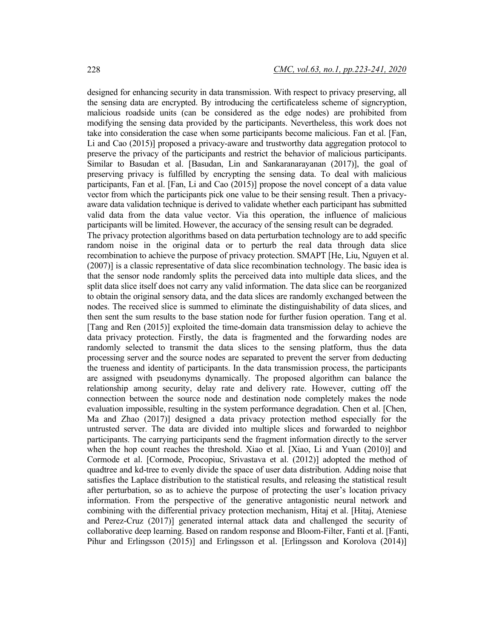designed for enhancing security in data transmission. With respect to privacy preserving, all the sensing data are encrypted. By introducing the certificateless scheme of signcryption, malicious roadside units (can be considered as the edge nodes) are prohibited from modifying the sensing data provided by the participants. Nevertheless, this work does not take into consideration the case when some participants become malicious. Fan et al. [Fan, Li and Cao (2015)] proposed a privacy-aware and trustworthy data aggregation protocol to preserve the privacy of the participants and restrict the behavior of malicious participants. Similar to Basudan et al. [Basudan, Lin and Sankaranarayanan (2017)], the goal of preserving privacy is fulfilled by encrypting the sensing data. To deal with malicious participants, Fan et al. [Fan, Li and Cao (2015)] propose the novel concept of a data value vector from which the participants pick one value to be their sensing result. Then a privacyaware data validation technique is derived to validate whether each participant has submitted valid data from the data value vector. Via this operation, the influence of malicious participants will be limited. However, the accuracy of the sensing result can be degraded. The privacy protection algorithms based on data perturbation technology are to add specific random noise in the original data or to perturb the real data through data slice recombination to achieve the purpose of privacy protection. SMAPT [He, Liu, Nguyen et al. (2007)] is a classic representative of data slice recombination technology. The basic idea is that the sensor node randomly splits the perceived data into multiple data slices, and the split data slice itself does not carry any valid information. The data slice can be reorganized to obtain the original sensory data, and the data slices are randomly exchanged between the nodes. The received slice is summed to eliminate the distinguishability of data slices, and then sent the sum results to the base station node for further fusion operation. Tang et al. [Tang and Ren (2015)] exploited the time-domain data transmission delay to achieve the data privacy protection. Firstly, the data is fragmented and the forwarding nodes are randomly selected to transmit the data slices to the sensing platform, thus the data processing server and the source nodes are separated to prevent the server from deducting the trueness and identity of participants. In the data transmission process, the participants are assigned with pseudonyms dynamically. The proposed algorithm can balance the relationship among security, delay rate and delivery rate. However, cutting off the connection between the source node and destination node completely makes the node evaluation impossible, resulting in the system performance degradation. Chen et al. [Chen, Ma and Zhao (2017)] designed a data privacy protection method especially for the untrusted server. The data are divided into multiple slices and forwarded to neighbor participants. The carrying participants send the fragment information directly to the server when the hop count reaches the threshold. Xiao et al. [Xiao, Li and Yuan (2010)] and Cormode et al. [Cormode, Procopiuc, Srivastava et al. (2012)] adopted the method of quadtree and kd-tree to evenly divide the space of user data distribution. Adding noise that satisfies the Laplace distribution to the statistical results, and releasing the statistical result after perturbation, so as to achieve the purpose of protecting the user's location privacy information. From the perspective of the generative antagonistic neural network and combining with the differential privacy protection mechanism, Hitaj et al. [Hitaj, Ateniese and Perez-Cruz (2017)] generated internal attack data and challenged the security of collaborative deep learning. Based on random response and Bloom-Filter, Fanti et al. [Fanti,

Pihur and Erlingsson (2015)] and Erlingsson et al. [Erlingsson and Korolova (2014)]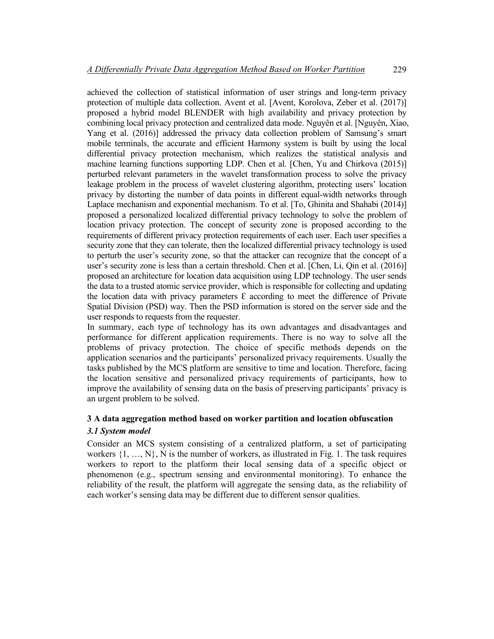achieved the collection of statistical information of user strings and long-term privacy protection of multiple data collection. Avent et al. [Avent, Korolova, Zeber et al. (2017)] proposed a hybrid model BLENDER with high availability and privacy protection by combining local privacy protection and centralized data mode. Nguyên et al. [Nguyên, Xiao, Yang et al. (2016)] addressed the privacy data collection problem of Samsung's smart mobile terminals, the accurate and efficient Harmony system is built by using the local differential privacy protection mechanism, which realizes the statistical analysis and machine learning functions supporting LDP. Chen et al. [Chen, Yu and Chirkova (2015)] perturbed relevant parameters in the wavelet transformation process to solve the privacy leakage problem in the process of wavelet clustering algorithm, protecting users' location privacy by distorting the number of data points in different equal-width networks through Laplace mechanism and exponential mechanism. To et al. [To, Ghinita and Shahabi (2014)] proposed a personalized localized differential privacy technology to solve the problem of location privacy protection. The concept of security zone is proposed according to the requirements of different privacy protection requirements of each user. Each user specifies a security zone that they can tolerate, then the localized differential privacy technology is used to perturb the user's security zone, so that the attacker can recognize that the concept of a user's security zone is less than a certain threshold. Chen et al. [Chen, Li, Qin et al. (2016)] proposed an architecture for location data acquisition using LDP technology. The user sends the data to a trusted atomic service provider, which is responsible for collecting and updating the location data with privacy parameters  $\epsilon$  according to meet the difference of Private Spatial Division (PSD) way. Then the PSD information is stored on the server side and the user responds to requests from the requester.

In summary, each type of technology has its own advantages and disadvantages and performance for different application requirements. There is no way to solve all the problems of privacy protection. The choice of specific methods depends on the application scenarios and the participants' personalized privacy requirements. Usually the tasks published by the MCS platform are sensitive to time and location. Therefore, facing the location sensitive and personalized privacy requirements of participants, how to improve the availability of sensing data on the basis of preserving participants' privacy is an urgent problem to be solved.

# **3 A data aggregation method based on worker partition and location obfuscation** *3.1 System model*

Consider an MCS system consisting of a centralized platform, a set of participating workers  $\{1, ..., N\}$ , N is the number of workers, as illustrated in Fig. 1. The task requires workers to report to the platform their local sensing data of a specific object or phenomenon (e.g., spectrum sensing and environmental monitoring). To enhance the reliability of the result, the platform will aggregate the sensing data, as the reliability of each worker's sensing data may be different due to different sensor qualities.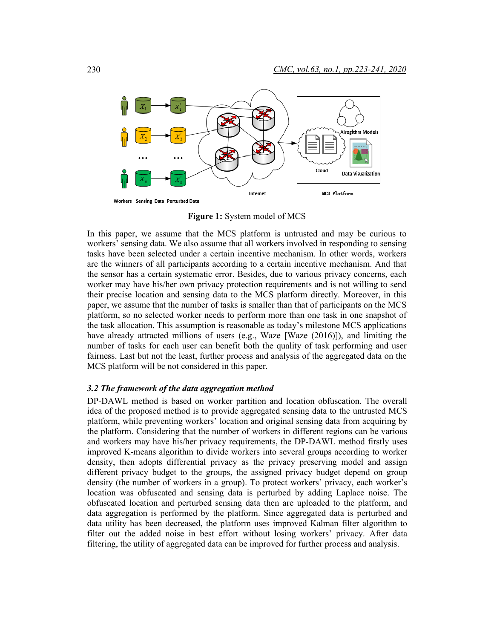

**Figure 1:** System model of MCS

In this paper, we assume that the MCS platform is untrusted and may be curious to workers' sensing data. We also assume that all workers involved in responding to sensing tasks have been selected under a certain incentive mechanism. In other words, workers are the winners of all participants according to a certain incentive mechanism. And that the sensor has a certain systematic error. Besides, due to various privacy concerns, each worker may have his/her own privacy protection requirements and is not willing to send their precise location and sensing data to the MCS platform directly. Moreover, in this paper, we assume that the number of tasks is smaller than that of participants on the MCS platform, so no selected worker needs to perform more than one task in one snapshot of the task allocation. This assumption is reasonable as today's milestone MCS applications have already attracted millions of users (e.g., Waze [Waze (2016)]), and limiting the number of tasks for each user can benefit both the quality of task performing and user fairness. Last but not the least, further process and analysis of the aggregated data on the MCS platform will be not considered in this paper.

#### *3.2 The framework of the data aggregation method*

DP-DAWL method is based on worker partition and location obfuscation. The overall idea of the proposed method is to provide aggregated sensing data to the untrusted MCS platform, while preventing workers' location and original sensing data from acquiring by the platform. Considering that the number of workers in different regions can be various and workers may have his/her privacy requirements, the DP-DAWL method firstly uses improved K-means algorithm to divide workers into several groups according to worker density, then adopts differential privacy as the privacy preserving model and assign different privacy budget to the groups, the assigned privacy budget depend on group density (the number of workers in a group). To protect workers' privacy, each worker's location was obfuscated and sensing data is perturbed by adding Laplace noise. The obfuscated location and perturbed sensing data then are uploaded to the platform, and data aggregation is performed by the platform. Since aggregated data is perturbed and data utility has been decreased, the platform uses improved Kalman filter algorithm to filter out the added noise in best effort without losing workers' privacy. After data filtering, the utility of aggregated data can be improved for further process and analysis.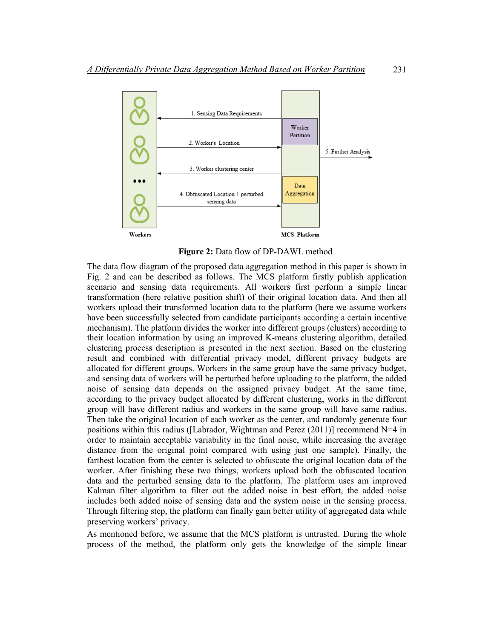

**Figure 2:** Data flow of DP-DAWL method

The data flow diagram of the proposed data aggregation method in this paper is shown in Fig. 2 and can be described as follows. The MCS platform firstly publish application scenario and sensing data requirements. All workers first perform a simple linear transformation (here relative position shift) of their original location data. And then all workers upload their transformed location data to the platform (here we assume workers have been successfully selected from candidate participants according a certain incentive mechanism). The platform divides the worker into different groups (clusters) according to their location information by using an improved K-means clustering algorithm, detailed clustering process description is presented in the next section. Based on the clustering result and combined with differential privacy model, different privacy budgets are allocated for different groups. Workers in the same group have the same privacy budget, and sensing data of workers will be perturbed before uploading to the platform, the added noise of sensing data depends on the assigned privacy budget. At the same time, according to the privacy budget allocated by different clustering, works in the different group will have different radius and workers in the same group will have same radius. Then take the original location of each worker as the center, and randomly generate four positions within this radius ([Labrador, Wightman and Perez  $(2011)$ ] recommend N=4 in order to maintain acceptable variability in the final noise, while increasing the average distance from the original point compared with using just one sample). Finally, the farthest location from the center is selected to obfuscate the original location data of the worker. After finishing these two things, workers upload both the obfuscated location data and the perturbed sensing data to the platform. The platform uses am improved Kalman filter algorithm to filter out the added noise in best effort, the added noise includes both added noise of sensing data and the system noise in the sensing process. Through filtering step, the platform can finally gain better utility of aggregated data while preserving workers' privacy.

As mentioned before, we assume that the MCS platform is untrusted. During the whole process of the method, the platform only gets the knowledge of the simple linear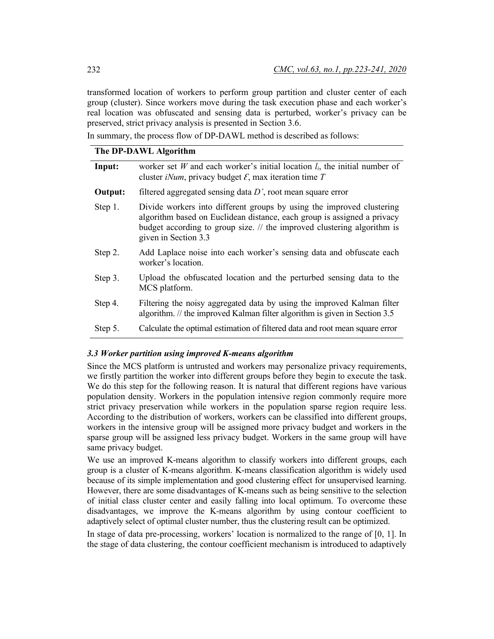transformed location of workers to perform group partition and cluster center of each group (cluster). Since workers move during the task execution phase and each worker's real location was obfuscated and sensing data is perturbed, worker's privacy can be preserved, strict privacy analysis is presented in Section 3.6.

In summary, the process flow of DP-DAWL method is described as follows:

### **The DP-DAWL Algorithm**

| Input:  | worker set W and each worker's initial location $l_i$ , the initial number of<br>cluster <i>iNum</i> , privacy budget $\mathcal{E}$ , max iteration time T                                                                                          |  |  |  |  |
|---------|-----------------------------------------------------------------------------------------------------------------------------------------------------------------------------------------------------------------------------------------------------|--|--|--|--|
| Output: | filtered aggregated sensing data $D'$ , root mean square error                                                                                                                                                                                      |  |  |  |  |
| Step 1. | Divide workers into different groups by using the improved clustering<br>algorithm based on Euclidean distance, each group is assigned a privacy<br>budget according to group size. // the improved clustering algorithm is<br>given in Section 3.3 |  |  |  |  |
| Step 2. | Add Laplace noise into each worker's sensing data and obfuscate each<br>worker's location.                                                                                                                                                          |  |  |  |  |
| Step 3. | Upload the obfuscated location and the perturbed sensing data to the<br>MCS platform.                                                                                                                                                               |  |  |  |  |
| Step 4. | Filtering the noisy aggregated data by using the improved Kalman filter<br>algorithm. // the improved Kalman filter algorithm is given in Section 3.5                                                                                               |  |  |  |  |
| Step 5. | Calculate the optimal estimation of filtered data and root mean square error                                                                                                                                                                        |  |  |  |  |

#### *3.3 Worker partition using improved K-means algorithm*

Since the MCS platform is untrusted and workers may personalize privacy requirements, we firstly partition the worker into different groups before they begin to execute the task. We do this step for the following reason. It is natural that different regions have various population density. Workers in the population intensive region commonly require more strict privacy preservation while workers in the population sparse region require less. According to the distribution of workers, workers can be classified into different groups, workers in the intensive group will be assigned more privacy budget and workers in the sparse group will be assigned less privacy budget. Workers in the same group will have same privacy budget.

We use an improved K-means algorithm to classify workers into different groups, each group is a cluster of K-means algorithm. K-means classification algorithm is widely used because of its simple implementation and good clustering effect for unsupervised learning. However, there are some disadvantages of K-means such as being sensitive to the selection of initial class cluster center and easily falling into local optimum. To overcome these disadvantages, we improve the K-means algorithm by using contour coefficient to adaptively select of optimal cluster number, thus the clustering result can be optimized.

In stage of data pre-processing, workers' location is normalized to the range of [0, 1]. In the stage of data clustering, the contour coefficient mechanism is introduced to adaptively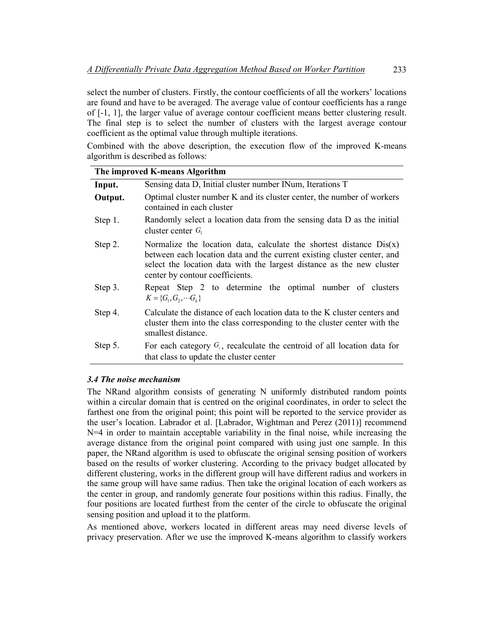select the number of clusters. Firstly, the contour coefficients of all the workers' locations are found and have to be averaged. The average value of contour coefficients has a range of [-1, 1], the larger value of average contour coefficient means better clustering result. The final step is to select the number of clusters with the largest average contour coefficient as the optimal value through multiple iterations.

Combined with the above description, the execution flow of the improved K-means algorithm is described as follows:

| The improved K-means Algorithm |                                                                                                                                                                                                                                                              |  |  |  |  |  |
|--------------------------------|--------------------------------------------------------------------------------------------------------------------------------------------------------------------------------------------------------------------------------------------------------------|--|--|--|--|--|
| Input.                         | Sensing data D, Initial cluster number INum, Iterations T                                                                                                                                                                                                    |  |  |  |  |  |
| Output.                        | Optimal cluster number K and its cluster center, the number of workers<br>contained in each cluster                                                                                                                                                          |  |  |  |  |  |
| Step 1.                        | Randomly select a location data from the sensing data D as the initial<br>cluster center $G_1$                                                                                                                                                               |  |  |  |  |  |
| Step 2.                        | Normalize the location data, calculate the shortest distance $Dis(x)$<br>between each location data and the current existing cluster center, and<br>select the location data with the largest distance as the new cluster<br>center by contour coefficients. |  |  |  |  |  |
| Step 3.                        | Repeat Step 2 to determine the optimal number of clusters<br>$K = \{G_1, G_2, \cdots G_k\}$                                                                                                                                                                  |  |  |  |  |  |
| Step 4.                        | Calculate the distance of each location data to the K cluster centers and<br>cluster them into the class corresponding to the cluster center with the<br>smallest distance.                                                                                  |  |  |  |  |  |
| Step 5.                        | For each category $G_i$ , recalculate the centroid of all location data for<br>that class to update the cluster center                                                                                                                                       |  |  |  |  |  |

# *3.4 The noise mechanism*

The NRand algorithm consists of generating N uniformly distributed random points within a circular domain that is centred on the original coordinates, in order to select the farthest one from the original point; this point will be reported to the service provider as the user's location. Labrador et al. [Labrador, Wightman and Perez (2011)] recommend N=4 in order to maintain acceptable variability in the final noise, while increasing the average distance from the original point compared with using just one sample. In this paper, the NRand algorithm is used to obfuscate the original sensing position of workers based on the results of worker clustering. According to the privacy budget allocated by different clustering, works in the different group will have different radius and workers in the same group will have same radius. Then take the original location of each workers as the center in group, and randomly generate four positions within this radius. Finally, the four positions are located furthest from the center of the circle to obfuscate the original sensing position and upload it to the platform.

As mentioned above, workers located in different areas may need diverse levels of privacy preservation. After we use the improved K-means algorithm to classify workers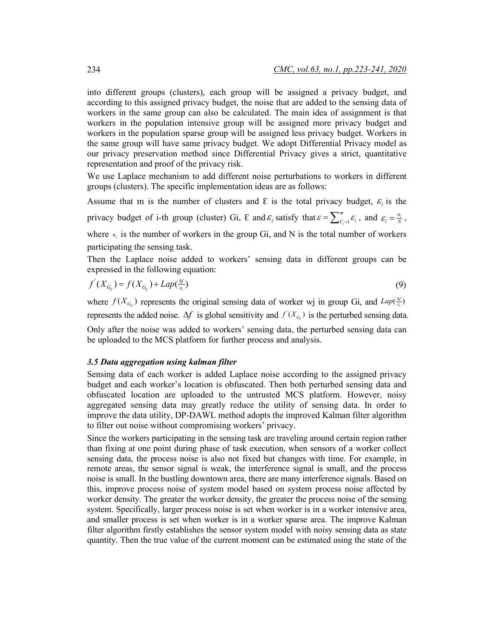into different groups (clusters), each group will be assigned a privacy budget, and according to this assigned privacy budget, the noise that are added to the sensing data of workers in the same group can also be calculated. The main idea of assignment is that workers in the population intensive group will be assigned more privacy budget and workers in the population sparse group will be assigned less privacy budget. Workers in the same group will have same privacy budget. We adopt Differential Privacy model as our privacy preservation method since Differential Privacy gives a strict, quantitative representation and proof of the privacy risk.

We use Laplace mechanism to add different noise perturbations to workers in different groups (clusters). The specific implementation ideas are as follows:

Assume that m is the number of clusters and  $\epsilon$  is the total privacy budget,  $\epsilon_i$  is the privacy budget of i-th group (cluster) Gi,  $\epsilon$  and  $\varepsilon_i$  satisfy that  $\varepsilon = \sum_{i=1}^m \varepsilon_i$ , and  $\varepsilon_i = \frac{n_i}{N}$ ,

where  $n_i$  is the number of workers in the group Gi, and N is the total number of workers participating the sensing task.

Then the Laplace noise added to workers' sensing data in different groups can be expressed in the following equation:

$$
f'(X_{G_{ij}}) = f(X_{G_{ij}}) + Lap(\frac{\Delta f}{\varepsilon_i})
$$
\n(9)

where  $f(X_{G_i})$  represents the original sensing data of worker wj in group Gi, and  $Lap(\frac{\Delta f}{\epsilon_i})$ represents the added noise.  $\Delta f$  is global sensitivity and  $f'(X_{G_g})$  is the perturbed sensing data. Only after the noise was added to workers' sensing data, the perturbed sensing data can be uploaded to the MCS platform for further process and analysis.

#### *3.5 Data aggregation using kalman filter*

Sensing data of each worker is added Laplace noise according to the assigned privacy budget and each worker's location is obfuscated. Then both perturbed sensing data and obfuscated location are uploaded to the untrusted MCS platform. However, noisy aggregated sensing data may greatly reduce the utility of sensing data. In order to improve the data utility, DP-DAWL method adopts the improved Kalman filter algorithm to filter out noise without compromising workers' privacy.

Since the workers participating in the sensing task are traveling around certain region rather than fixing at one point during phase of task execution, when sensors of a worker collect sensing data, the process noise is also not fixed but changes with time. For example, in remote areas, the sensor signal is weak, the interference signal is small, and the process noise is small. In the bustling downtown area, there are many interference signals. Based on this, improve process noise of system model based on system process noise affected by worker density. The greater the worker density, the greater the process noise of the sensing system. Specifically, larger process noise is set when worker is in a worker intensive area, and smaller process is set when worker is in a worker sparse area. The improve Kalman filter algorithm firstly establishes the sensor system model with noisy sensing data as state quantity. Then the true value of the current moment can be estimated using the state of the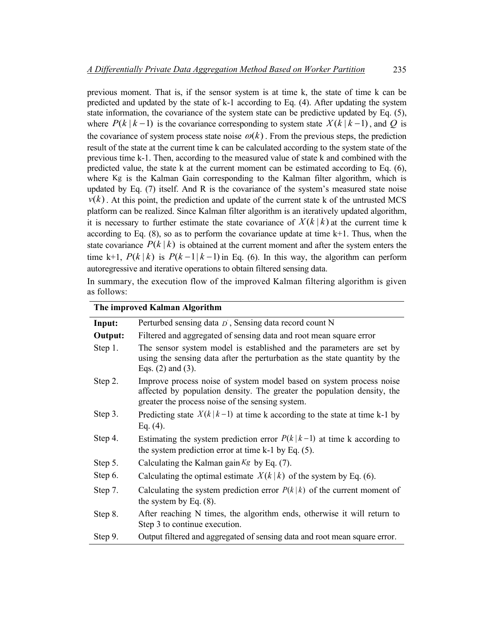previous moment. That is, if the sensor system is at time k, the state of time k can be predicted and updated by the state of k-1 according to Eq. (4). After updating the system state information, the covariance of the system state can be predictive updated by Eq. (5), where  $P(k | k - 1)$  is the covariance corresponding to system state  $X(k | k - 1)$ , and Q is the covariance of system process state noise  $\omega(k)$ . From the previous steps, the prediction result of the state at the current time k can be calculated according to the system state of the previous time k-1. Then, according to the measured value of state k and combined with the predicted value, the state k at the current moment can be estimated according to Eq. (6), where Kg is the Kalman Gain corresponding to the Kalman filter algorithm, which is updated by Eq. (7) itself. And R is the covariance of the system's measured state noise  $v(k)$ . At this point, the prediction and update of the current state k of the untrusted MCS platform can be realized. Since Kalman filter algorithm is an iteratively updated algorithm, it is necessary to further estimate the state covariance of  $X(k|k)$  at the current time k according to Eq.  $(8)$ , so as to perform the covariance update at time  $k+1$ . Thus, when the state covariance  $P(k | k)$  is obtained at the current moment and after the system enters the time k+1,  $P(k|k)$  is  $P(k-1|k-1)$  in Eq. (6). In this way, the algorithm can perform autoregressive and iterative operations to obtain filtered sensing data.

In summary, the execution flow of the improved Kalman filtering algorithm is given as follows:

| The improved Kalman Algorithm |                                                                                                                                                                                                    |  |  |  |  |
|-------------------------------|----------------------------------------------------------------------------------------------------------------------------------------------------------------------------------------------------|--|--|--|--|
| Input:                        | Perturbed sensing data $D$ , Sensing data record count N                                                                                                                                           |  |  |  |  |
| Output:                       | Filtered and aggregated of sensing data and root mean square error                                                                                                                                 |  |  |  |  |
| Step 1.                       | The sensor system model is established and the parameters are set by<br>using the sensing data after the perturbation as the state quantity by the<br>Eqs. $(2)$ and $(3)$ .                       |  |  |  |  |
| Step 2.                       | Improve process noise of system model based on system process noise<br>affected by population density. The greater the population density, the<br>greater the process noise of the sensing system. |  |  |  |  |
| Step 3.                       | Predicting state $X(k k-1)$ at time k according to the state at time k-1 by<br>Eq. $(4)$ .                                                                                                         |  |  |  |  |
| Step 4.                       | Estimating the system prediction error $P(k k-1)$ at time k according to<br>the system prediction error at time $k-1$ by Eq. $(5)$ .                                                               |  |  |  |  |
| Step 5.                       | Calculating the Kalman gain $Kg$ by Eq. (7).                                                                                                                                                       |  |  |  |  |
| Step 6.                       | Calculating the optimal estimate $X(k k)$ of the system by Eq. (6).                                                                                                                                |  |  |  |  |
| Step 7.                       | Calculating the system prediction error $P(k k)$ of the current moment of<br>the system by Eq. $(8)$ .                                                                                             |  |  |  |  |
| Step 8.                       | After reaching N times, the algorithm ends, otherwise it will return to<br>Step 3 to continue execution.                                                                                           |  |  |  |  |
| Step 9.                       | Output filtered and aggregated of sensing data and root mean square error.                                                                                                                         |  |  |  |  |

# **The improved Kalman Algorithm**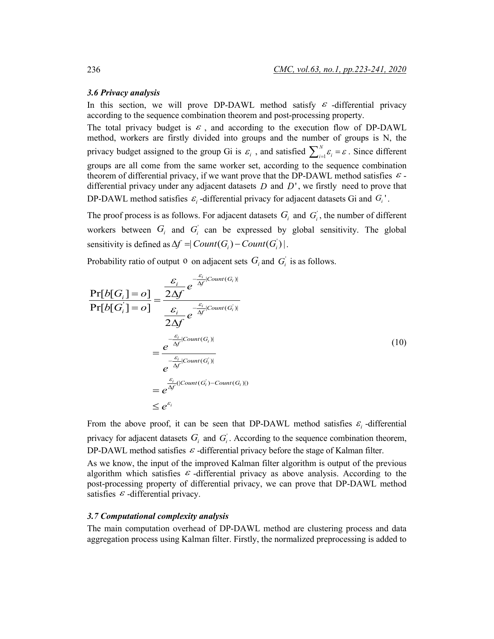#### *3.6 Privacy analysis*

In this section, we will prove DP-DAWL method satisfy  $\varepsilon$  -differential privacy according to the sequence combination theorem and post-processing property.

The total privacy budget is  $\varepsilon$ , and according to the execution flow of DP-DAWL method, workers are firstly divided into groups and the number of groups is N, the privacy budget assigned to the group Gi is  $\varepsilon_i$ , and satisfied  $\sum_{i=1}^{N} \varepsilon_i = \varepsilon$ . Since different groups are all come from the same worker set, according to the sequence combination theorem of differential privacy, if we want prove that the DP-DAWL method satisfies  $\varepsilon$ . differential privacy under any adjacent datasets *D* and *D*' , we firstly need to prove that DP-DAWL method satisfies  $\varepsilon_i$ -differential privacy for adjacent datasets Gi and  $G_i$ <sup>'</sup>.

The proof process is as follows. For adjacent datasets  $G_i$  and  $G_i$ , the number of different workers between  $G_i$  and  $G_i$  can be expressed by global sensitivity. The global sensitivity is defined as  $\Delta f = |$  *Count*  $(G_i) -$  *Count*  $(G'_i)$  | .

Probability ratio of output 0 on adjacent sets  $G_i$  and  $G'_i$  is as follows.

$$
\frac{\Pr[b[G_i] = o]}{\Pr[b[G_i] = o]} = \frac{\frac{\varepsilon_i}{2\Delta f} e^{-\frac{\varepsilon_i}{\Delta f}[Count(G_i)]}}{\frac{\varepsilon_i}{2\Delta f} e^{-\frac{\varepsilon_i}{\Delta f}[Count(G_i)]}}
$$
\n
$$
= \frac{e^{-\frac{\varepsilon_i}{\Delta f}[Count(G_i)]}}{e^{-\frac{\varepsilon_i}{\Delta f}[Count(G_i)]}}
$$
\n
$$
= e^{\frac{\varepsilon_i}{\Delta f}[Count(G_i)]}
$$
\n
$$
= e^{\frac{\varepsilon_i}{\Delta f}[Count(G_i) - Count(G_i)])}
$$
\n
$$
\leq e^{\varepsilon_i}
$$
\n(10)

From the above proof, it can be seen that DP-DAWL method satisfies  $\varepsilon_i$  -differential privacy for adjacent datasets  $G_i$  and  $G_i$ . According to the sequence combination theorem, DP-DAWL method satisfies  $\varepsilon$ -differential privacy before the stage of Kalman filter.

As we know, the input of the improved Kalman filter algorithm is output of the previous algorithm which satisfies  $\varepsilon$ -differential privacy as above analysis. According to the post-processing property of differential privacy, we can prove that DP-DAWL method satisfies  $\varepsilon$  -differential privacy.

#### *3.7 Computational complexity analysis*

The main computation overhead of DP-DAWL method are clustering process and data aggregation process using Kalman filter. Firstly, the normalized preprocessing is added to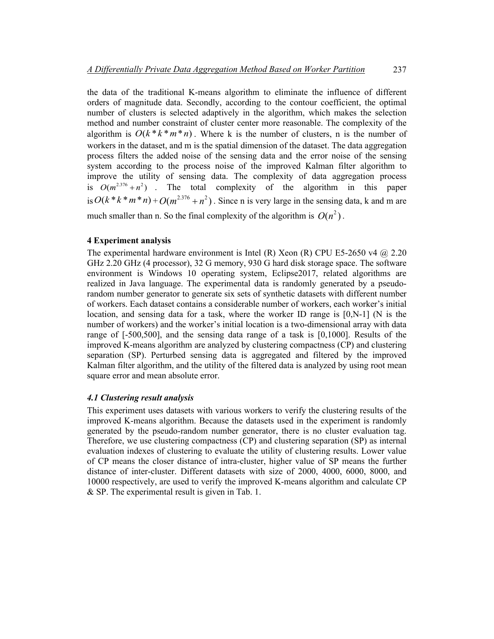the data of the traditional K-means algorithm to eliminate the influence of different orders of magnitude data. Secondly, according to the contour coefficient, the optimal number of clusters is selected adaptively in the algorithm, which makes the selection method and number constraint of cluster center more reasonable. The complexity of the algorithm is  $O(k*k*m*n)$ . Where k is the number of clusters, n is the number of workers in the dataset, and m is the spatial dimension of the dataset. The data aggregation process filters the added noise of the sensing data and the error noise of the sensing system according to the process noise of the improved Kalman filter algorithm to improve the utility of sensing data. The complexity of data aggregation process is  $O(m^{2.376} + n^2)$ . The total complexity of the algorithm in this paper is  $O(k * k * m * n) + O(m^{2.376} + n^2)$ . Since n is very large in the sensing data, k and m are much smaller than n. So the final complexity of the algorithm is  $O(n^2)$ .

#### **4 Experiment analysis**

The experimental hardware environment is Intel (R) Xeon (R) CPU E5-2650 v4  $@$  2.20 GHz 2.20 GHz (4 processor), 32 G memory, 930 G hard disk storage space. The software environment is Windows 10 operating system, Eclipse2017, related algorithms are realized in Java language. The experimental data is randomly generated by a pseudorandom number generator to generate six sets of synthetic datasets with different number of workers. Each dataset contains a considerable number of workers, each worker's initial location, and sensing data for a task, where the worker ID range is  $[0, N-1]$  (N is the number of workers) and the worker's initial location is a two-dimensional array with data range of [-500,500], and the sensing data range of a task is [0,1000]. Results of the improved K-means algorithm are analyzed by clustering compactness (CP) and clustering separation (SP). Perturbed sensing data is aggregated and filtered by the improved Kalman filter algorithm, and the utility of the filtered data is analyzed by using root mean square error and mean absolute error.

#### *4.1 Clustering result analysis*

This experiment uses datasets with various workers to verify the clustering results of the improved K-means algorithm. Because the datasets used in the experiment is randomly generated by the pseudo-random number generator, there is no cluster evaluation tag. Therefore, we use clustering compactness (CP) and clustering separation (SP) as internal evaluation indexes of clustering to evaluate the utility of clustering results. Lower value of CP means the closer distance of intra-cluster, higher value of SP means the further distance of inter-cluster. Different datasets with size of 2000, 4000, 6000, 8000, and 10000 respectively, are used to verify the improved K-means algorithm and calculate CP & SP. The experimental result is given in Tab. 1.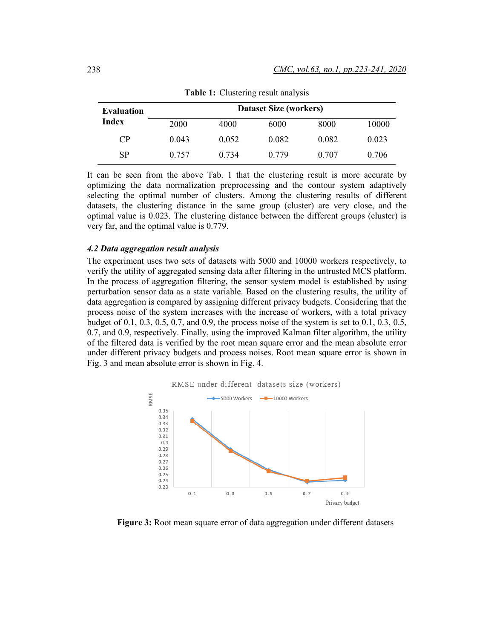| Evaluation | <b>Dataset Size (workers)</b> |       |       |       |       |  |
|------------|-------------------------------|-------|-------|-------|-------|--|
| Index      | 2000                          | 4000  | 6000  | 8000  | 10000 |  |
| CP         | 0.043                         | 0.052 | 0.082 | 0.082 | 0.023 |  |
| <b>SP</b>  | 0.757                         | 0.734 | 0.779 | 0.707 | 0.706 |  |

**Table 1:** Clustering result analysis

It can be seen from the above Tab. 1 that the clustering result is more accurate by optimizing the data normalization preprocessing and the contour system adaptively selecting the optimal number of clusters. Among the clustering results of different datasets, the clustering distance in the same group (cluster) are very close, and the optimal value is 0.023. The clustering distance between the different groups (cluster) is very far, and the optimal value is 0.779.

#### *4.2 Data aggregation result analysis*

The experiment uses two sets of datasets with 5000 and 10000 workers respectively, to verify the utility of aggregated sensing data after filtering in the untrusted MCS platform. In the process of aggregation filtering, the sensor system model is established by using perturbation sensor data as a state variable. Based on the clustering results, the utility of data aggregation is compared by assigning different privacy budgets. Considering that the process noise of the system increases with the increase of workers, with a total privacy budget of 0.1, 0.3, 0.5, 0.7, and 0.9, the process noise of the system is set to 0.1, 0.3, 0.5, 0.7, and 0.9, respectively. Finally, using the improved Kalman filter algorithm, the utility of the filtered data is verified by the root mean square error and the mean absolute error under different privacy budgets and process noises. Root mean square error is shown in Fig. 3 and mean absolute error is shown in Fig. 4.



**Figure 3:** Root mean square error of data aggregation under different datasets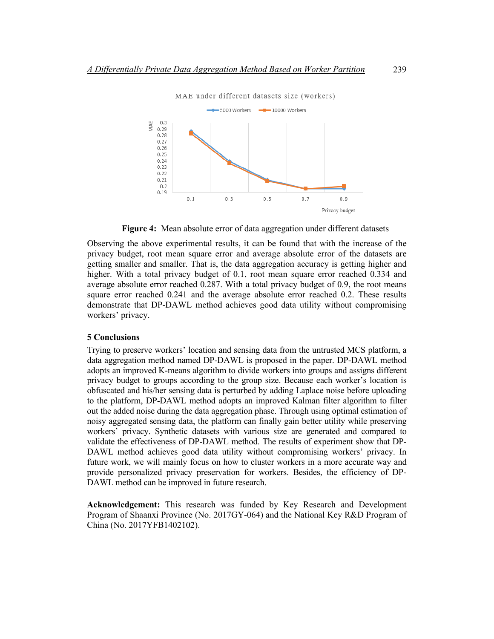

**Figure 4:** Mean absolute error of data aggregation under different datasets

Observing the above experimental results, it can be found that with the increase of the privacy budget, root mean square error and average absolute error of the datasets are getting smaller and smaller. That is, the data aggregation accuracy is getting higher and higher. With a total privacy budget of 0.1, root mean square error reached 0.334 and average absolute error reached 0.287. With a total privacy budget of 0.9, the root means square error reached 0.241 and the average absolute error reached 0.2. These results demonstrate that DP-DAWL method achieves good data utility without compromising workers' privacy.

## **5 Conclusions**

Trying to preserve workers' location and sensing data from the untrusted MCS platform, a data aggregation method named DP-DAWL is proposed in the paper. DP-DAWL method adopts an improved K-means algorithm to divide workers into groups and assigns different privacy budget to groups according to the group size. Because each worker's location is obfuscated and his/her sensing data is perturbed by adding Laplace noise before uploading to the platform, DP-DAWL method adopts an improved Kalman filter algorithm to filter out the added noise during the data aggregation phase. Through using optimal estimation of noisy aggregated sensing data, the platform can finally gain better utility while preserving workers' privacy. Synthetic datasets with various size are generated and compared to validate the effectiveness of DP-DAWL method. The results of experiment show that DP-DAWL method achieves good data utility without compromising workers' privacy. In future work, we will mainly focus on how to cluster workers in a more accurate way and provide personalized privacy preservation for workers. Besides, the efficiency of DP-DAWL method can be improved in future research.

**Acknowledgement:** This research was funded by Key Research and Development Program of Shaanxi Province (No. 2017GY-064) and the National Key R&D Program of China (No. 2017YFB1402102).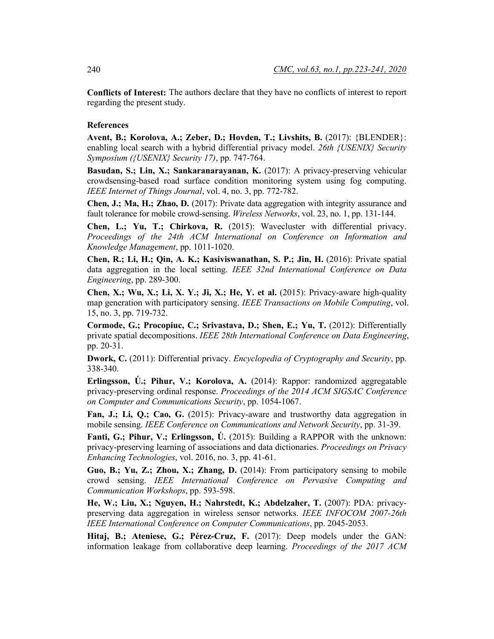**Conflicts of Interest:** The authors declare that they have no conflicts of interest to report regarding the present study.

#### **References**

**Avent, B.; Korolova, A.; Zeber, D.; Hovden, T.; Livshits, B.** (2017): {BLENDER}: enabling local search with a hybrid differential privacy model. *26th {USENIX} Security Symposium ({USENIX} Security 17)*, pp. 747-764.

**Basudan, S.; Lin, X.; Sankaranarayanan, K.** (2017): A privacy-preserving vehicular crowdsensing-based road surface condition monitoring system using fog computing. *IEEE Internet of Things Journal*, vol. 4, no. 3, pp. 772-782.

**Chen, J.; Ma, H.; Zhao, D.** (2017): Private data aggregation with integrity assurance and fault tolerance for mobile crowd-sensing. *Wireless Networks*, vol. 23, no. 1, pp. 131-144.

**Chen, L.; Yu, T.; Chirkova, R.** (2015): Wavecluster with differential privacy. *Proceedings of the 24th ACM International on Conference on Information and Knowledge Management*, pp. 1011-1020.

**Chen, R.; Li, H.; Qin, A. K.; Kasiviswanathan, S. P.; Jin, H.** (2016): Private spatial data aggregation in the local setting. *IEEE 32nd International Conference on Data Engineering*, pp. 289-300.

**Chen, X.; Wu, X.; Li, X. Y.; Ji, X.; He, Y. et al.** (2015): Privacy-aware high-quality map generation with participatory sensing. *IEEE Transactions on Mobile Computing*, vol. 15, no. 3, pp. 719-732.

**Cormode, G.; Procopiuc, C.; Srivastava, D.; Shen, E.; Yu, T.** (2012): Differentially private spatial decompositions. *IEEE 28th International Conference on Data Engineering*, pp. 20-31.

**Dwork, C.** (2011): Differential privacy. *Encyclopedia of Cryptography and Security*, pp. 338-340.

**Erlingsson, Ú.; Pihur, V.; Korolova, A.** (2014): Rappor: randomized aggregatable privacy-preserving ordinal response. *Proceedings of the 2014 ACM SIGSAC Conference on Computer and Communications Security*, pp. 1054-1067.

**Fan, J.; Li, Q.; Cao, G.** (2015): Privacy-aware and trustworthy data aggregation in mobile sensing. *IEEE Conference on Communications and Network Security*, pp. 31-39.

**Fanti, G.; Pihur, V.; Erlingsson, Ú.** (2015): Building a RAPPOR with the unknown: privacy-preserving learning of associations and data dictionaries. *Proceedings on Privacy Enhancing Technologies*, vol. 2016, no. 3, pp. 41-61.

**Guo, B.; Yu, Z.; Zhou, X.; Zhang, D.** (2014): From participatory sensing to mobile crowd sensing. *IEEE International Conference on Pervasive Computing and Communication Workshops*, pp. 593-598.

**He, W.; Liu, X.; Nguyen, H.; Nahrstedt, K.; Abdelzaher, T.** (2007): PDA: privacypreserving data aggregation in wireless sensor networks. *IEEE INFOCOM 2007-26th IEEE International Conference on Computer Communications*, pp. 2045-2053.

**Hitaj, B.; Ateniese, G.; Pérez-Cruz, F.** (2017): Deep models under the GAN: information leakage from collaborative deep learning. *Proceedings of the 2017 ACM*